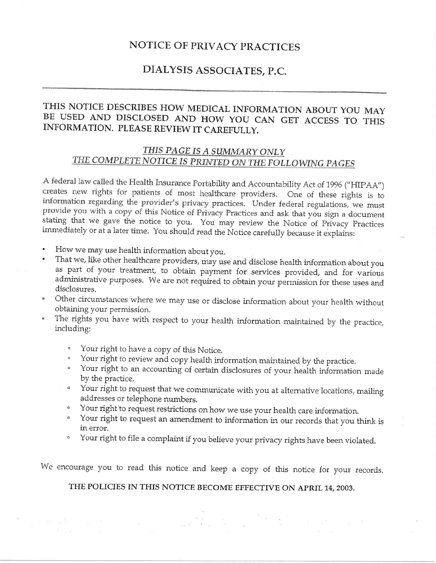# NOTICE OF PRIVACY PRACTICES

# DIALYSIS ASSOCIATES, P.C"

# THIS NOTICE DESCRIBES HOW MEDICAL INFORMATION ABOUT YOU MAY BE USED AND DISCLOSED AND HOW YOU CAN GET ACCESS TO THIS INFORMATION. PLEASE REVIEW IT CAREFULLY.

# THIS PAGE IS A SUMMARY ONLY THE COMPLETE NOTICE IS PRINTED ON THE FOLLOWING PAGES

A federal law called the Health Insurance Portability and Accountability Act of 1996 ("HIPAA") creates new rights for patients of most healthcare providers. One of these rights is to information regarding the provider's privacy practices. Under federal regulations, we must<br>provide you with a copy of this Notice of Privacy Practices and ask that you sign a document stating that we gave the notice to you. You may review the Notice of Privacy Practices immediately or at a later time. You should read the Notice carefully because it explains:

- 
- How we may use health information about you.<br>That we, like other healthcare providers, may use and disclose health information about you as part of your treatment, to obtain payment for services provided, and for various administrative purposes. We are not required to obtain your permission for these uses and disclosures.
- Other circumstances where we may use or disciose information about your health without obtaining your permission,
- The rights you have with respect to your health information maintained by the practice, including:
	-
	- o Your right to have a copy of this Notice.<br>Downly Your right to review and copy health information maintained by the practice.
	- <sup>o</sup> Your right to an accounting of certain disclosures of your health information made by the practice.
	- <sup>o</sup> Your right to request that we communicate with you at alternative locations, mailing addresses or telephone numbers.
	- Your right to request restrictions on how we use your health care information.
	- ' Yout right to request an amendment to information in our records that you think is in error.
	- ' Yout right to file a complaint if you believe your privacy rights have been violated.

We encourage you to read this notice and keep a copy of this notice for your records.

THE POLICIES IN THIS NOTICE BECOME EFFECTIVE ON APRIL 14, 2003.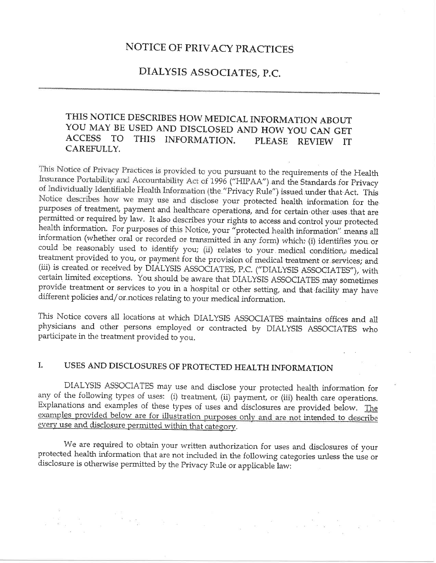# NOTICE OF PRIVACY PRACTICES

# DIALYSIS ASSOCIATES, P.C.

#### THIS NOTICE DESCRIBES HOW MEDICAL INFORMATION ABOUT YOU MAY BE USED AND DISCLOSED AND HOW YOU CAN GET **ACCESS** TO<sub>1</sub> THIS INFORMATION. PLEASE REVIEW IT CAREFULLY.

This Notice of Privacy Practices is provided to you pursuant to the requirements of the Health Insurance Portability and Accountability Act of 1996 ("HIPAA") and the Standards for Privacy of Individually Identifiable Health Information (the "Privacy Rule") issued under that Act. This Notice describes how we may use and disclose your protected health information for the purposes of treatment, payment and healthcare operations, and for certain other uses that are permitted or required by law. It also describes your rights to access and control your protected health information. For purposes of this Notice, your "protected health information" means all information (whether oral or recorded or transmitted in any form) which: (i) identifies you or could be reasonably used to identify you; (ii) relates to your medical condition, medical treatment provided to you, or payment for the provision of medical treatment or services; and (iii) is created or received by DIALYSIS ASSOCIATES, P.C. ("DIALYSIS ASSOCIATES"), with certain limited exceptions. You should be aware that DIALYSIS ASSOCIATES may sometimes provide treatment or services to you in a hospital or other setting, and that facility may have different policies and/or notices relating to your medical information.

This Notice covers all locations at which DIALYSIS ASSOCIATES maintains offices and all physicians and other persons employed or contracted by DIALYSIS ASSOCIATES who participate in the treatment provided to you.

#### USES AND DISCLOSURES OF PROTECTED HEALTH INFORMATION I.

DIALYSIS ASSOCIATES may use and disclose your protected health information for any of the following types of uses: (i) treatment, (ii) payment, or (iii) health care operations. Explanations and examples of these types of uses and disclosures are provided below. The examples provided below are for illustration purposes only and are not intended to describe every use and disclosure permitted within that category.

We are required to obtain your written authorization for uses and disclosures of your protected health information that are not included in the following categories unless the use or disclosure is otherwise permitted by the Privacy Rule or applicable law: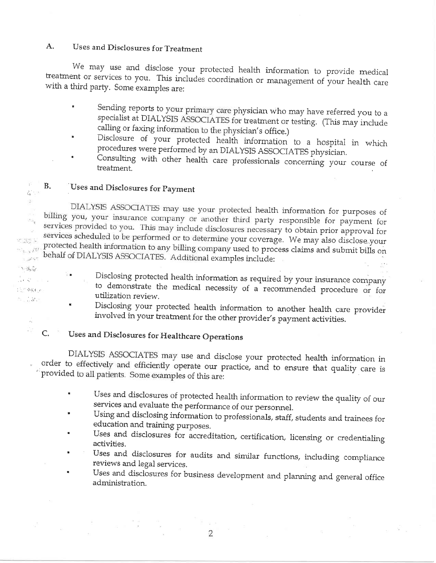#### $A<sub>1</sub>$ Uses and Disclosures for Treatment

We may use and disclose your protected health information to provide medical treatment or services to you. This includes coordination or management of your health care with a third party. Some examples are:

- Sending reports to your primary care physician who may have referred you to a specialist at DIALYSIS ASSOCIATES for treatment or testing. (This may include calling or faxing information to the physician's office.)
- Disclosure of your protected health information to a hospital in which procedures were performed by an DIALYSIS ASSOCIATES physician.
- Consulting with other health care professionals concerning your course of treatment.

#### **B.** Uses and Disclosures for Payment

 $\blacksquare$ 

 $\bar{1}$  :

 $\tilde{\mathcal{C}}_{\mathbf{r}}$  $\frac{1}{2}$ 

e de C

 $\tau_{\tau\to\lambda}H$ 

 $\sim 10^{10}$   $\rm{M}_{\odot}$  $\label{eq:1} \mathcal{F} = \mathcal{F}_{\text{eff}} + \frac{1}{2} \sum_{\mathbf{k} \in \mathcal{K}} \mathcal{F}_{\text{eff}} + \frac{1}{2} \sum_{\mathbf{k} \in \mathcal{K}} \mathcal{F}_{\text{eff}} + \frac{1}{2} \sum_{\mathbf{k} \in \mathcal{K}} \mathcal{F}_{\text{eff}} + \frac{1}{2} \sum_{\mathbf{k} \in \mathcal{K}} \mathcal{F}_{\text{eff}} + \frac{1}{2} \sum_{\mathbf{k} \in \mathcal{K}} \mathcal{F}_{\text{eff}} + \frac{1}{2} \sum_{\mathbf{k} \in \math$ 

de en 1950

 $\mathsf{C}$ .

经济资源和市

 $\mathcal{N}=\mathcal{N}$  .

DIALYSIS ASSOCIATES may use your protected health information for purposes of billing you, your insurance company or another third party responsible for payment for services provided to you. This may include disclosures necessary to obtain prior approval for services scheduled to be performed or to determine your coverage. We may also disclose your protected health information to any billing company used to process claims and submit bills on behalf of DIALYSIS ASSOCIATES. Additional examples include:

- Disclosing protected health information as required by your insurance company to demonstrate the medical necessity of a recommended procedure or for utilization review.
- Disclosing your protected health information to another health care provider involved in your treatment for the other provider's payment activities.

# Uses and Disclosures for Healthcare Operations

DIALYSIS ASSOCIATES may use and disclose your protected health information in order to effectively and efficiently operate our practice, and to ensure that quality care is provided to all patients. Some examples of this are:

- Uses and disclosures of protected health information to review the quality of our services and evaluate the performance of our personnel.
- Using and disclosing information to professionals, staff, students and trainees for education and training purposes.
- Uses and disclosures for accreditation, certification, licensing or credentialing activities.
- Uses and disclosures for audits and similar functions, including compliance reviews and legal services.
- Uses and disclosures for business development and planning and general office administration.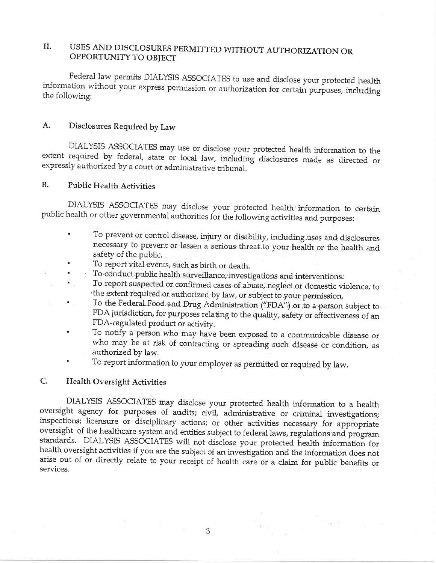# II. USES AND DISCLOSURES PERMITTED WITHOUT AUTHORIZATION OR OPPORTUNTTY TO OBJECT

Federal law permits DIALYSIS ASSOCIATES to use and disclose your protected health information without your express permission or authorization for certain purposes, including the following:

# A. Disclosures Required by Law

DIALYSIS ASSOCIATES may use or disclose your protected health information to the extent required by federal, state or local law, including disclosures made as directed or expressly authorized by a court or administrative t

# B. Public Health Activities

i.

DIALYSIS ASSOCIATES may disclose your protected health information to certain public health or other governmental authorities for the following activities and purposes:

- ' To prevent or control disease, injury or disability, including..uses and disclosures necessary to prevent or lessen a serious threat to your health or the health and safety of the public.<br>To report vital events, such as birth or death.
- 
- To conduct public health surveillance; investigations and interventions.
- To report suspected or confirmed cases of abuse, neglect or domestic violence, to<br>the extent required or authorized by law, or subject to your permission.
- To the Federal Food and Drug Administration ("FDA") or to a person subject to FDA jurisdiction, for purposes relating to the quality, safety or effectiveness of an FDA-regulated product or activify.
- To notify a person who may have been exposed to a communicable disease or who may be at risk of contracting or spreading such disease or condition, as authorized by law,
- To report information to your employer as permitted or required by law.

### C. Health Oversight Activities

DIALYSIS ASSOCIATES may disclose your protected health information to a health oversight agency for purposes of audits; civil, administrative or criminal investigations; inspections; licensure or disciplinary actions; or other activities necessary for appropriate oversight of the healthcare system and entities subject to federal laws, regulations and program standards. DIALYSIS ASSOCIATES will not disclose your protected health information for health oversight activities if you are the subject of an investigation and the information does not arise out of or directly relate to your receipt of health care or a claim for public benefits or services.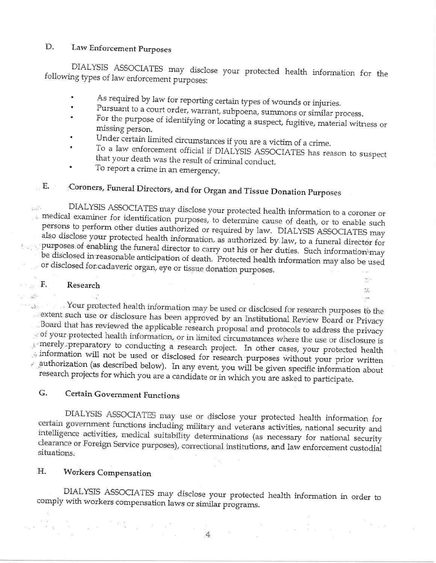#### D. Law Enforcement Purposes

DIALYSIS ASSOCIATES may disclose your protected health information for the following types of law enforcement purposes:

- As required by law for reporting certain types of wounds or injuries.  $\blacksquare$
- Pursuant to a court order, warrant, subpoena, summons or similar process.
- For the purpose of identifying or locating a suspect, fugitive, material witness or missing person.
- Under certain limited circumstances if you are a victim of a crime.
- To a law enforcement official if DIALYSIS ASSOCIATES has reason to suspect that your death was the result of criminal conduct.

 $\sum_{i=1}^n \frac{1}{i}$ 

 $\mathcal{L}_{\mathcal{I}_{\mathcal{I}}}$ 

ਲੇ ਕੁਝ

To report a crime in an emergency.

### E. T Coroners, Funeral Directors, and for Organ and Tissue Donation Purposes

DIALYSIS ASSOCIATES may disclose your protected health information to a coroner or hair. medical examiner for identification purposes, to determine cause of death, or to enable such persons to perform other duties authorized or required by law. DIALYSIS ASSOCIATES may also disclose your protected health information, as authorized by law, to a funeral director for purposes of enabling the funeral director to carry out his or her duties. Such information may be disclosed in reasonable anticipation of death. Protected health information may also be used or disclosed for cadaveric organ, eye or tissue donation purposes.

#### ings  $\mathbf{F}_{\bullet}$ Research

بالشي والمنا

. Your protected health information may be used or disclosed for research purposes to the extent such use or disclosure has been approved by an Institutional Review Board or Privacy Board that has reviewed the applicable research proposal and protocols to address the privacy.  $\sim$  of your protected health information, or in limited circumstances where the use or disclosure is  $\mathbb{R}^n$  merely preparatory to conducting a research project. In other cases, your protected health information will not be used or disclosed for research purposes without your prior written  $\mathbb{R}$  authorization (as described below). In any event, you will be given specific information about research projects for which you are a candidate or in which you are asked to participate.

#### G. Certain Government Functions

DIALYSIS ASSOCIATES may use or disclose your protected health information for certain government functions including military and veterans activities, national security and intelligence activities, medical suitability determinations (as necessary for national security clearance or Foreign Service purposes), correctional institutions, and law enforcement custodial situations.

#### Η. **Workers Compensation**

 $\begin{array}{lll} \mathbf{B} & \mathbf{B} & & \\ \mathbf{B} & \mathbf{B} & & \\ \mathbf{B} & \mathbf{B} & & \mathbf{B} \end{array}$ 

DIALYSIS ASSOCIATES may disclose your protected health information in order to comply with workers compensation laws or similar programs.

 $\overline{4}$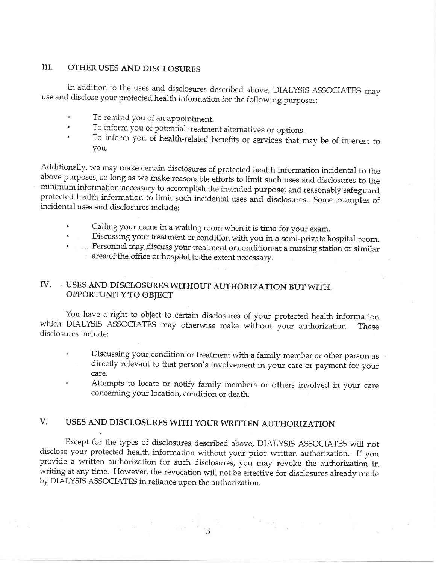### III. OTHER USES AND DISCLOSURES

In addition to the uses and disclosures described above, DIALYSIS ASSOCIATES may use and disclose your protected health information for the following purposes:

- 
- To remind you of an appointment.<br>To inform you of potential treatment alternatives or options.
- To inform you of health-related benefits or services that may be of interest to you.

Additionally, we may make certain disclosures of protected health information incidental to the above purposes, so long as we make reasonabie efforts to lirnit such uses and disclosures to the minimum information necessary to accomplish the intended purpose, and reasonably safeguard protected health information to limit such incidental uses and disclosures. Some examples of<br>incidental uses and disclosures include: incidental uses and disclosures include:

- a Calling your name in a waiting room when it is time for your exam.
- Discussing your treatment or condition with you in a semi-private hospital room.
- a Personnel may discuss your treatment or condition at a nursing station or similar area of the office or hospital to the extent necessary.

### IV. USES AND DISCLOSURES WITHOUT;AUTHORIZATION BUT WITFI OPPORTUNTTY TO OBJECT

You have a right to object to.certain disclosures of your protected health information which DIALYSIS ASSOCIATES may otherwise make without your authorization. These disclosures include:

- Discussing your condition or treatment with a family member or other person as directly relevant to that person's involvement in your care or payment for your care.
- Attempts to locate or notify family members or others involved in your care concerning your location, condition or death.

# V. USES AND DISCLOSURES WITH YOUR WRITTEN AUTHORIZATION

Except for the types of disclosures described above, DIALYSIS ASSOCIATES will not disclose your protected health information without your prior written authorization. If you provide a written authorization for such disclosures, you may revoke the authorization in writing at any time. However, the revocation will not be effective for disclosures already made by DiALYSIS ASSOCIATES in reiiance upon the authorization.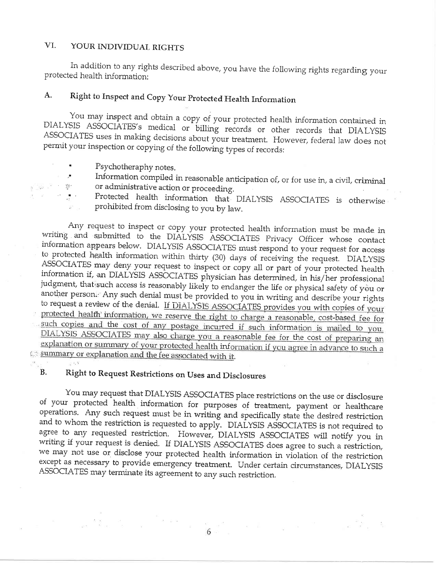#### VI. YOUR INDIVIDUAL RIGHTS

In addition to any rights described above, you have the following rights regarding your protected health information:

#### Right to Inspect and Copy Your Protected Health Information A.

You may inspect and obtain a copy of your protected health information contained in DIALYSIS ASSOCIATES's medical or billing records or other records that DIALYSIS ASSOCIATES uses in making decisions about your treatment. However, federal law does not permit your inspection or copying of the following types of records:

- Psychotheraphy notes.
- Information compiled in reasonable anticipation of, or for use in, a civil, criminal or administrative action or proceeding.  $\mathcal{W}^{\star}$ 
	- Protected health information that DIALYSIS ASSOCIATES is otherwise prohibited from disclosing to you by law.

Any request to inspect or copy your protected health information must be made in writing and submitted to the DIALYSIS ASSOCIATES Privacy Officer whose contact information appears below. DIALYSIS ASSOCIATES must respond to your request for access to protected health information within thirty (30) days of receiving the request. DIALYSIS ASSOCIATES may deny your request to inspect or copy all or part of your protected health information if, an DIALYSIS ASSOCIATES physician has determined, in his/her professional judgment, that such access is reasonably likely to endanger the life or physical safety of you or another person. Any such denial must be provided to you in writing and describe your rights to request a review of the denial. If DIALYSIS ASSOCIATES provides you with copies of your protected health information, we reserve the right to charge a reasonable, cost-based fee for such copies and the cost of any postage incurred if such information is mailed to you. DIALYSIS ASSOCIATES may also charge you a reasonable fee for the cost of preparing an explanation or summary of your protected health information if you agree in advance to such a summary or explanation and the fee associated with it.

 $-1.8$ 

Na s<sup>a</sup>

#### **B.** Right to Request Restrictions on Uses and Disclosures

You may request that DIALYSIS ASSOCIATES place restrictions on the use or disclosure of your protected health information for purposes of treatment, payment or healthcare operations. Any such request must be in writing and specifically state the desired restriction and to whom the restriction is requested to apply. DIALYSIS ASSOCIATES is not required to agree to any requested restriction. However, DIALYSIS ASSOCIATES will notify you in writing if your request is denied. If DIALYSIS ASSOCIATES does agree to such a restriction, we may not use or disclose your protected health information in violation of the restriction except as necessary to provide emergency treatment. Under certain circumstances, DIALYSIS ASSOCIATES may terminate its agreement to any such restriction.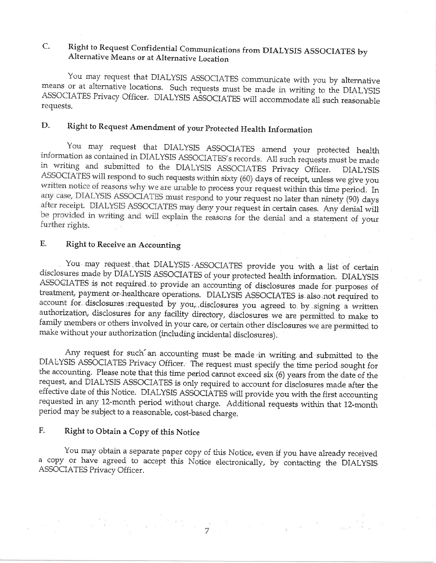# C. Right to Request Confidential Communications from DIALYSIS ASSOCIATES by Alternative Means or at Alternative Location

You may request that DIALYSIS ASSOCIATES communicate with you by alternative means or at alternative locations. Such requests must be made in writing to the DIALYSIS ASSOCIATES Privacy Officer. DIALYSIS ASSOCIATES will accommodate all such reasonable requests,

# D. Right to Request Amendment of your Protected Health Information

You may request that DIALYSIS ASSOCIATES amend your protected health<br>information as contained in DIALYSIS ASSOCIATES's records. All such requests must be made<br>in writing and submitted to the DIALYSIS ASSOCIATES Privacy Off ASSOCIATES will respond to such requests within sixty (60) days of receipt, unless we give you written notice of reasons why we are unable to process your request within this time period. In any case, DIALYSIS ASSOCIATES must respond to your request no later than ninety (90) days after receipt. DIALYSIS ASSOCIATES may deny your request in certain cases. Any denial will be provided in writing and will explain the reasons for the denial and a statement of your further rights.

### E. Right to Receive an Accounting

.<br>مما You may request that DIALYSIS ASSOCIATES provide you with a list of certain disclosures made by DIALYSIS ASSOCIATES of your protected health information. DIALYSIS ASSOCIATES is not required to provide an accounting of disclosures made for purposes of treatment, payment or healthcare operations. DIALYSIS ASSOCIATES is also not required to account for disclosures requested by you, disclosures you agreed to by signing a written authorization, disclosures for any facility directory, disclosures we are permitted to make to<br>family members or others involved in your care, or certain other disclosures we are permitted to make without your authorization (including incidental disclosures).

 $\overline{a}$ Any request for such an accounting must be made in writing and submitted to the DIALYSIS ASSOCIATES Privacy Officer. The request must specify the time period sought for the accounting. Please note that this time period cannot exceed six (6) years from the date of the request, and DIALYSIS ASSOCIATES is only required to account for disclosures made after the effective date of this Notice. DIALYSIS ASSOCIATES will provide you with the first accounting requested in any 12-month period without charge. Additional requests within that 12-month period may be subject to a reasonable, cost-based charge.

# F. Right to Obtain a Copy of this Norice

You may obtain a separate paper copy of this Notice, even if you have already received a copy or have agreed to accept this Notice electronically, by contacting the DIALYSIS ASSOCIATES Privacy Officer.